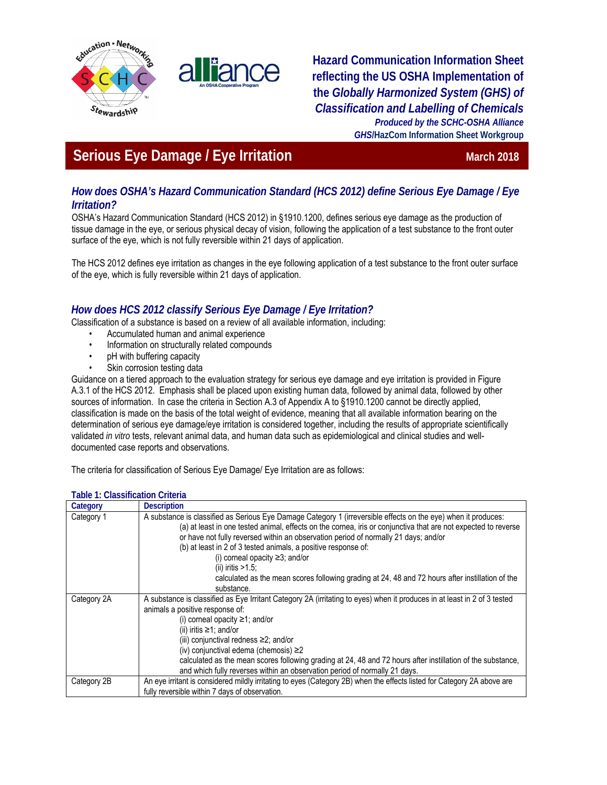



**Hazard Communication Information Sheet reflecting the US OSHA Implementation of the** *Globally Harmonized System (GHS) of Classification and Labelling of Chemicals Produced by the SCHC-OSHA Alliance GHS***/HazCom Information Sheet Workgroup**

# **Serious Eye Damage / Eye Irritation March 2018** March 2018

# *How does OSHA's Hazard Communication Standard (HCS 2012) define Serious Eye Damage / Eye Irritation?*

OSHA's Hazard Communication Standard (HCS 2012) in §1910.1200, defines serious eye damage as the production of tissue damage in the eye, or serious physical decay of vision, following the application of a test substance to the front outer surface of the eye, which is not fully reversible within 21 days of application.

The HCS 2012 defines eye irritation as changes in the eye following application of a test substance to the front outer surface of the eye, which is fully reversible within 21 days of application.

# *How does HCS 2012 classify Serious Eye Damage / Eye Irritation?*

Classification of a substance is based on a review of all available information, including:

- Accumulated human and animal experience
- Information on structurally related compounds
- pH with buffering capacity
- Skin corrosion testing data

Guidance on a tiered approach to the evaluation strategy for serious eye damage and eye irritation is provided in Figure A.3.1 of the HCS 2012. Emphasis shall be placed upon existing human data, followed by animal data, followed by other sources of information. In case the criteria in Section A.3 of Appendix A to §1910.1200 cannot be directly applied, classification is made on the basis of the total weight of evidence, meaning that all available information bearing on the determination of serious eye damage/eye irritation is considered together, including the results of appropriate scientifically validated *in vitro* tests, relevant animal data, and human data such as epidemiological and clinical studies and welldocumented case reports and observations.

The criteria for classification of Serious Eye Damage/ Eye Irritation are as follows:

| Category    | <b>Description</b>                                                                                                                                                                                                                                                                                                                                                                                                                                                                                                                                            |
|-------------|---------------------------------------------------------------------------------------------------------------------------------------------------------------------------------------------------------------------------------------------------------------------------------------------------------------------------------------------------------------------------------------------------------------------------------------------------------------------------------------------------------------------------------------------------------------|
| Category 1  | A substance is classified as Serious Eye Damage Category 1 (irreversible effects on the eye) when it produces:<br>(a) at least in one tested animal, effects on the cornea, iris or conjunctiva that are not expected to reverse<br>or have not fully reversed within an observation period of normally 21 days; and/or<br>(b) at least in 2 of 3 tested animals, a positive response of:<br>(i) corneal opacity $\geq$ 3; and/or<br>(ii) iritis $>1.5$ ;<br>calculated as the mean scores following grading at 24, 48 and 72 hours after instillation of the |
|             | substance.                                                                                                                                                                                                                                                                                                                                                                                                                                                                                                                                                    |
| Category 2A | A substance is classified as Eye Irritant Category 2A (irritating to eyes) when it produces in at least in 2 of 3 tested<br>animals a positive response of:<br>(i) corneal opacity $\geq$ 1; and/or<br>(ii) iritis $\geq$ 1; and/or<br>(iii) conjunctival redness $\geq$ 2; and/or<br>(iv) conjunctival edema (chemosis) $\geq$ 2<br>calculated as the mean scores following grading at 24, 48 and 72 hours after instillation of the substance,<br>and which fully reverses within an observation period of normally 21 days.                                |
| Category 2B | An eye irritant is considered mildly irritating to eyes (Category 2B) when the effects listed for Category 2A above are<br>fully reversible within 7 days of observation.                                                                                                                                                                                                                                                                                                                                                                                     |

## **Table 1: Classification Criteria**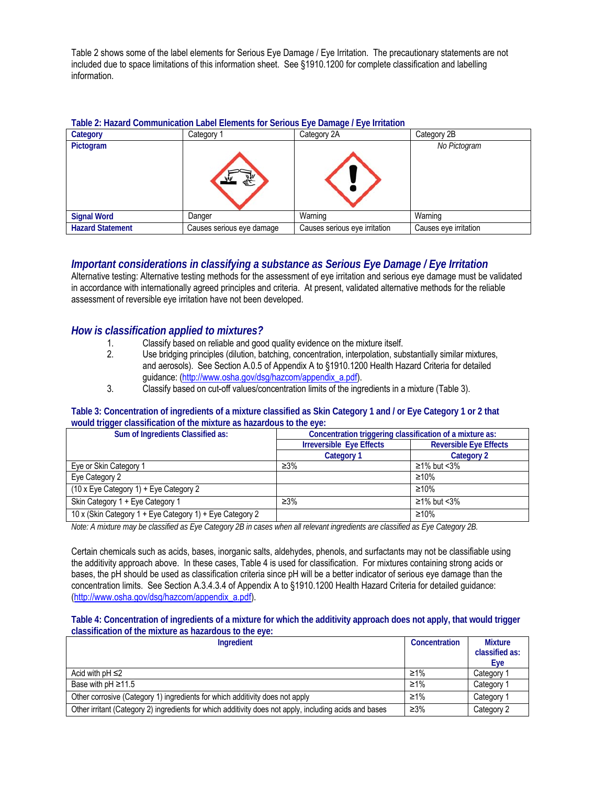Table 2 shows some of the label elements for Serious Eye Damage / Eye Irritation. The precautionary statements are not included due to space limitations of this information sheet. See §1910.1200 for complete classification and labelling information.

## **Table 2: Hazard Communication Label Elements for Serious Eye Damage / Eye Irritation**

| Category                | Category 1                | Category 2A                   | Category 2B           |
|-------------------------|---------------------------|-------------------------------|-----------------------|
| Pictogram               |                           |                               | No Pictogram          |
| <b>Signal Word</b>      | Danger                    | Warning                       | Warning               |
| <b>Hazard Statement</b> | Causes serious eye damage | Causes serious eye irritation | Causes eye irritation |

## *Important considerations in classifying a substance as Serious Eye Damage / Eye Irritation*

Alternative testing: Alternative testing methods for the assessment of eye irritation and serious eye damage must be validated in accordance with internationally agreed principles and criteria. At present, validated alternative methods for the reliable assessment of reversible eye irritation have not been developed.

## *How is classification applied to mixtures?*

- 1. Classify based on reliable and good quality evidence on the mixture itself.
- 2. Use bridging principles (dilution, batching, concentration, interpolation, substantially similar mixtures, and aerosols). See Section A.0.5 of Appendix A to §1910.1200 Health Hazard Criteria for detailed guidance: (http://www.osha.gov/dsg/hazcom/appendix\_a.pdf).
- 3. Classify based on cut-off values/concentration limits of the ingredients in a mixture (Table 3).

## **Table 3: Concentration of ingredients of a mixture classified as Skin Category 1 and / or Eye Category 1 or 2 that would trigger classification of the mixture as hazardous to the eye:**

| Sum of Ingredients Classified as:                        | Concentration triggering classification of a mixture as: |                               |  |
|----------------------------------------------------------|----------------------------------------------------------|-------------------------------|--|
|                                                          | <b>Irreversible Eye Effects</b>                          | <b>Reversible Eye Effects</b> |  |
|                                                          | <b>Category 1</b>                                        | Category 2                    |  |
| Eye or Skin Category 1                                   | $\geq 3\%$                                               | $\geq$ 1% but <3%             |  |
| Eye Category 2                                           |                                                          | $\geq 10\%$                   |  |
| $(10 \times Eye$ Category 1) + Eye Category 2            |                                                          | $\geq 10\%$                   |  |
| Skin Category 1 + Eye Category 1                         | $\geq 3\%$                                               | $\geq$ 1% but <3%             |  |
| 10 x (Skin Category 1 + Eye Category 1) + Eye Category 2 |                                                          | ≥10%                          |  |

*Note: A mixture may be classified as Eye Category 2B in cases when all relevant ingredients are classified as Eye Category 2B.*

Certain chemicals such as acids, bases, inorganic salts, aldehydes, phenols, and surfactants may not be classifiable using the additivity approach above. In these cases, Table 4 is used for classification. For mixtures containing strong acids or bases, the pH should be used as classification criteria since pH will be a better indicator of serious eye damage than the concentration limits. See Section A.3.4.3.4 of Appendix A to §1910.1200 Health Hazard Criteria for detailed guidance: (http://www.osha.gov/dsg/hazcom/appendix\_a.pdf).

### **Table 4: Concentration of ingredients of a mixture for which the additivity approach does not apply, that would trigger classification of the mixture as hazardous to the eye:**

| Ingredient                                                                                             | Concentration | <b>Mixture</b> |
|--------------------------------------------------------------------------------------------------------|---------------|----------------|
|                                                                                                        |               | classified as: |
|                                                                                                        |               | Eye            |
| Acid with $pH \leq 2$                                                                                  | ≥1%           | Category       |
| Base with $pH \ge 11.5$                                                                                | $\geq$ 1%     | Category 1     |
| Other corrosive (Category 1) ingredients for which additivity does not apply                           | ≥1%           | Category 1     |
| Other irritant (Category 2) ingredients for which additivity does not apply, including acids and bases | $\geq 3\%$    | Category 2     |